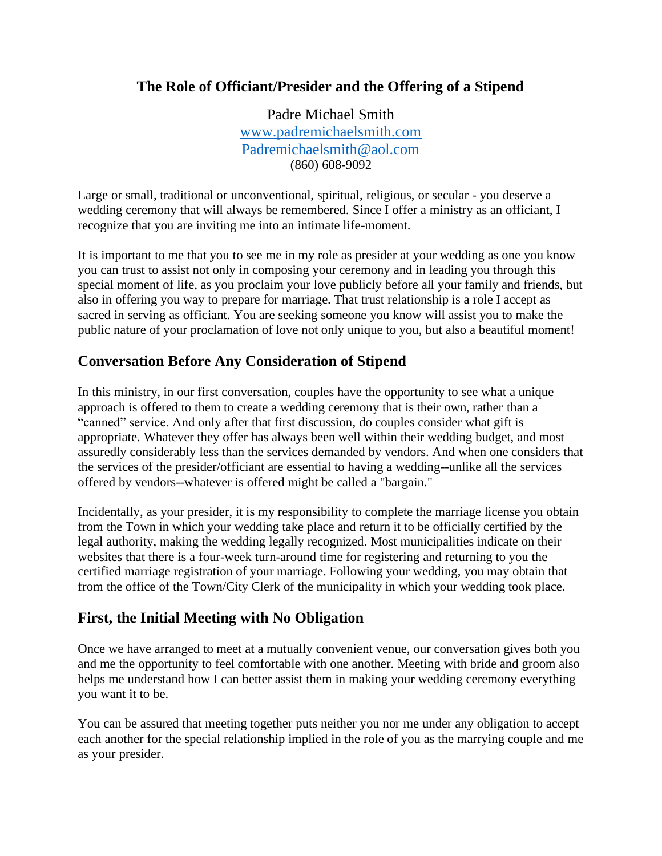## **The Role of Officiant/Presider and the Offering of a Stipend**

Padre Michael Smith [www.padremichaelsmith.com](about:blank) [Padremichaelsmith@aol.com](about:blank) (860) 608-9092

Large or small, traditional or unconventional, spiritual, religious, or secular - you deserve a wedding ceremony that will always be remembered. Since I offer a ministry as an officiant, I recognize that you are inviting me into an intimate life-moment.

It is important to me that you to see me in my role as presider at your wedding as one you know you can trust to assist not only in composing your ceremony and in leading you through this special moment of life, as you proclaim your love publicly before all your family and friends, but also in offering you way to prepare for marriage. That trust relationship is a role I accept as sacred in serving as officiant. You are seeking someone you know will assist you to make the public nature of your proclamation of love not only unique to you, but also a beautiful moment!

## **Conversation Before Any Consideration of Stipend**

In this ministry, in our first conversation, couples have the opportunity to see what a unique approach is offered to them to create a wedding ceremony that is their own, rather than a "canned" service. And only after that first discussion, do couples consider what gift is appropriate. Whatever they offer has always been well within their wedding budget, and most assuredly considerably less than the services demanded by vendors. And when one considers that the services of the presider/officiant are essential to having a wedding--unlike all the services offered by vendors--whatever is offered might be called a "bargain."

Incidentally, as your presider, it is my responsibility to complete the marriage license you obtain from the Town in which your wedding take place and return it to be officially certified by the legal authority, making the wedding legally recognized. Most municipalities indicate on their websites that there is a four-week turn-around time for registering and returning to you the certified marriage registration of your marriage. Following your wedding, you may obtain that from the office of the Town/City Clerk of the municipality in which your wedding took place.

## **First, the Initial Meeting with No Obligation**

Once we have arranged to meet at a mutually convenient venue, our conversation gives both you and me the opportunity to feel comfortable with one another. Meeting with bride and groom also helps me understand how I can better assist them in making your wedding ceremony everything you want it to be.

You can be assured that meeting together puts neither you nor me under any obligation to accept each another for the special relationship implied in the role of you as the marrying couple and me as your presider.